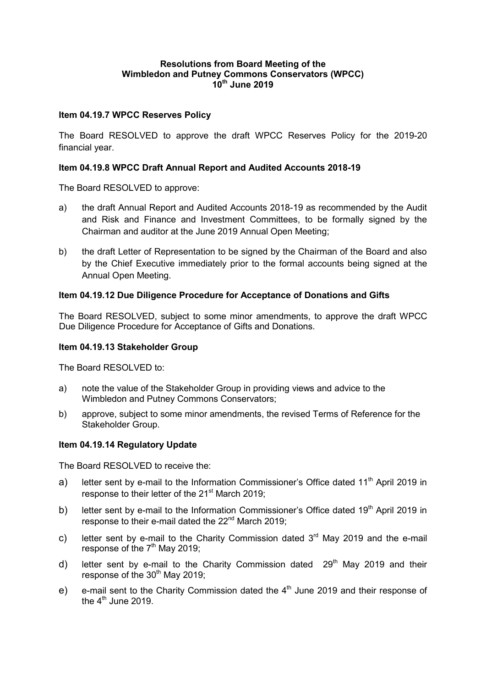## **Resolutions from Board Meeting of the Wimbledon and Putney Commons Conservators (WPCC) 10th June 2019**

### **Item 04.19.7 WPCC Reserves Policy**

The Board RESOLVED to approve the draft WPCC Reserves Policy for the 2019-20 financial year.

### **Item 04.19.8 WPCC Draft Annual Report and Audited Accounts 2018-19**

The Board RESOLVED to approve:

- a) the draft Annual Report and Audited Accounts 2018-19 as recommended by the Audit and Risk and Finance and Investment Committees, to be formally signed by the Chairman and auditor at the June 2019 Annual Open Meeting;
- b) the draft Letter of Representation to be signed by the Chairman of the Board and also by the Chief Executive immediately prior to the formal accounts being signed at the Annual Open Meeting.

### **Item 04.19.12 Due Diligence Procedure for Acceptance of Donations and Gifts**

The Board RESOLVED, subject to some minor amendments, to approve the draft WPCC Due Diligence Procedure for Acceptance of Gifts and Donations.

#### **Item 04.19.13 Stakeholder Group**

The Board RESOLVED to:

- a) note the value of the Stakeholder Group in providing views and advice to the Wimbledon and Putney Commons Conservators;
- b) approve, subject to some minor amendments, the revised Terms of Reference for the Stakeholder Group.

#### **Item 04.19.14 Regulatory Update**

The Board RESOLVED to receive the:

- a) letter sent by e-mail to the Information Commissioner's Office dated  $11<sup>th</sup>$  April 2019 in response to their letter of the 21<sup>st</sup> March 2019;
- b) letter sent by e-mail to the Information Commissioner's Office dated  $19<sup>th</sup>$  April 2019 in response to their e-mail dated the 22<sup>nd</sup> March 2019;
- c) letter sent by e-mail to the Charity Commission dated  $3<sup>rd</sup>$  May 2019 and the e-mail response of the  $7<sup>th</sup>$  May 2019;
- d) letter sent by e-mail to the Charity Commission dated  $29<sup>th</sup>$  May 2019 and their response of the  $30<sup>th</sup>$  May 2019;
- e) e-mail sent to the Charity Commission dated the  $4<sup>th</sup>$  June 2019 and their response of the  $4^{\text{th}}$  June 2019.